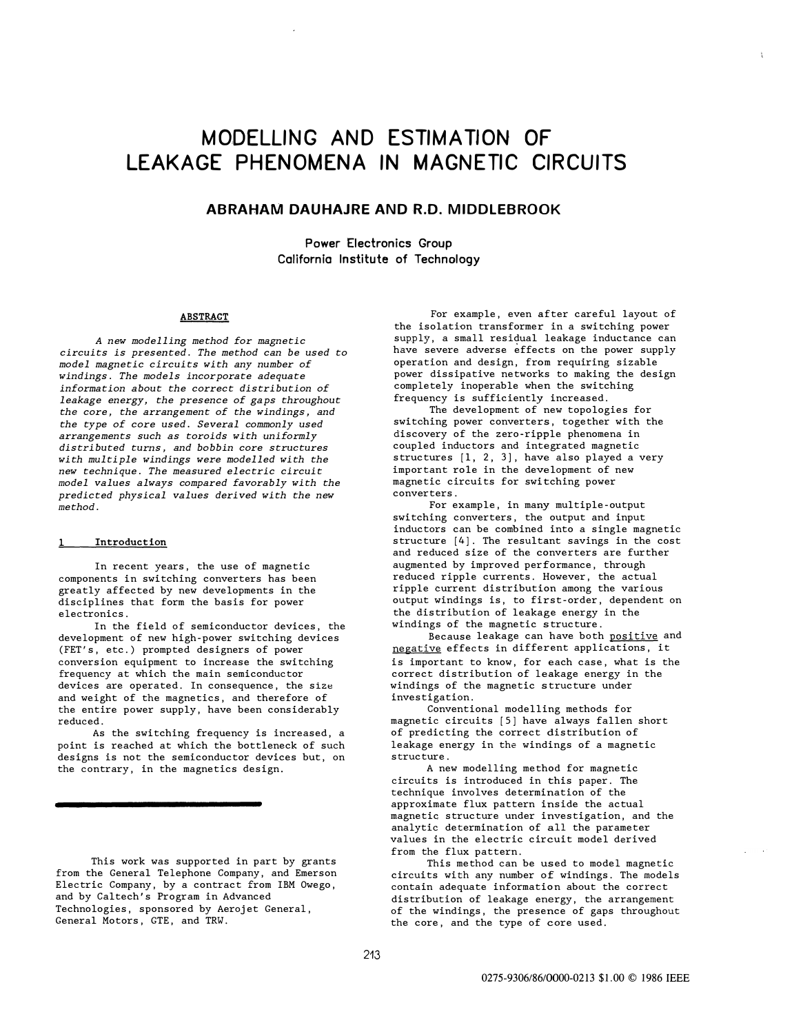# MODELLING AND ESTIMATION OF LEAKAGE PHENOMENA IN MAGNETIC CIRCUITS

# ABRAHAM DAUHAJRE AND R.D. MIDDLEBROOK

Power Electronics Group California Institute of Technology

# ABSTRACT

A new modelling method for magnetic circuits is presented. The method can be used to model magnetic circuits with any number of windings. The models incorporate adequate information about the correct distribution of leakage energy, the presence of gaps throughout the core, the arrangement of the windings, and the type of core used. Several commonly used arrangements such as toroids with uniformly distributed turns, and bobbin core structures with multiple windings were modelled with the new technique. The measured electric circuit model values always compared favorably with the predicted physical values derived with the new method.

# **Introduction**

In recent years, the use of magnetic components in switching converters has been greatly affected by new developments in the disciplines that form the basis for power electronics.

In the field of semiconductor devices, the development of new high-power switching devices (FET/s, etc. ) prompted designers of power conversion equipment to increase the switching frequency at which the main semiconductor devices are operated. In consequence, the size and weight of the magnetics, and therefore of the entire power supply, have been considerably reduced.

As the switching frequency is increased, a point is reached at which the bottleneck of such designs is not the semiconductor devices but, on the contrary, in the magnetics design.

This work was supported in part by grants from the General Telephone Company, and Emerson Electric Company, by a contract from IBM Owego, and by Caltech/s Program in Advanced Technologies, sponsored by Aerojet General, General Motors, GTE, and TRW.

For example, even after careful layout of the isolation transformer in a switching power supply, a small residual leakage inductance can have severe adverse effects on the power supply operation and design, from requiring sizable power dissipative networks to making the design completely inoperable when the switching frequency is sufficiently increased.

The development of new topologies for switching power converters, together with the discovery of the zero-ripple phenomena in coupled inductors and integrated magnetic structures [1, 2, 3], have also played a very important role in the development of new magnetic circuits for switching power converters.

For example, in many multiple-output switching converters, the output and input inductors can be combined into a single magnetic structure [4]. The resultant savings in the cost and reduced size of the converters are further augmented by improved performance, through reduced ripple currents. However, the actual ripple current distribution among the various output windings is, to first-order, dependent on the distribution of leakage energy in the windings of the magnetic structure.

Because leakage can have both positive and negative effects in different applications, it is important to know, for each case, what is the correct distribution of leakage energy in the windings of the magnetic structure under investigation.

Conventional modelling methods for magnetic circuits [5] have always fallen short of predicting the correct distribution of leakage energy in the windings of a magnetic structure.

A new modelling method for magnetic circuits is introduced in this paper. The technique involves determination of the approximate flux pattern inside the actual magnetic structure under investigation, and the analytic determination of all the parameter values in the electric circuit model derived from the flux pattern.

This method can be used to model magnetic circuits with any number of windings. The models contain adequate information about the correct distribution of leakage energy, the arrangement of the windings, the presence of gaps throughout the core, and the type of core used.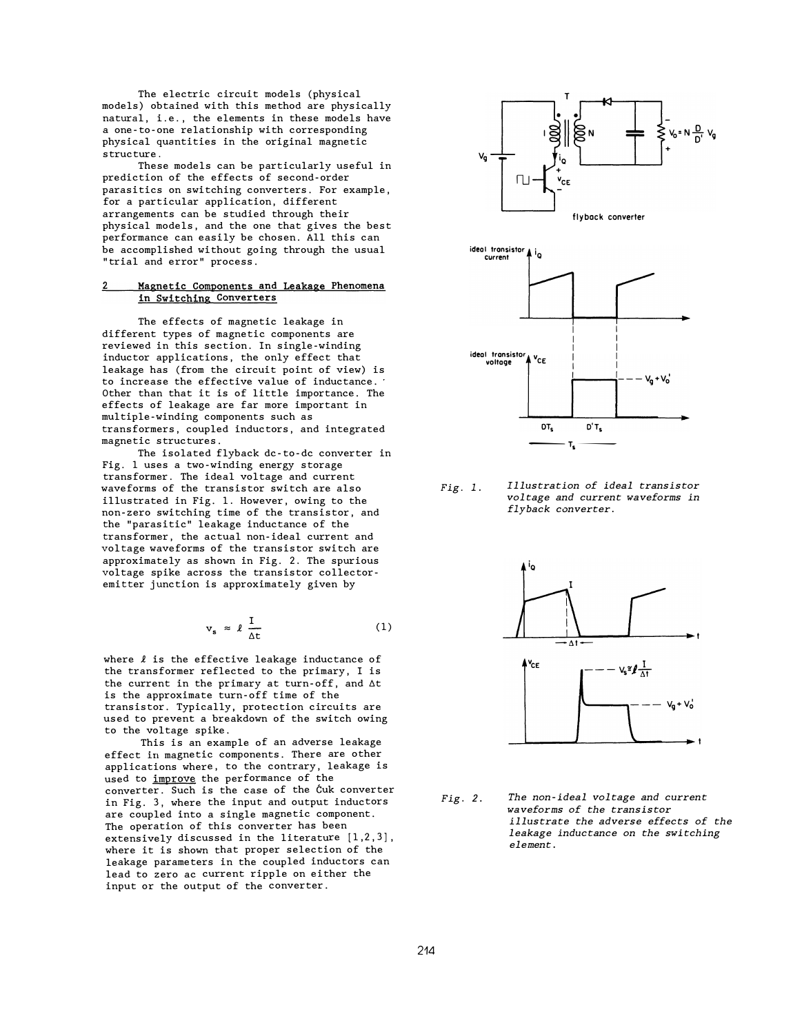The electric circuit models (physical models) obtained with this method are physically natural, i.e., the elements in these models have a one-to-one relationship with corresponding physical quantities in the original magnetic structure.

These models can be particularly useful in prediction of the effects of second-order parasitics on switching converters. For example, for a particular application, different arrangements can be studied through their physical models, and the one that gives the best performance can easily be chosen. All this can be accomplished without going through the usual "trial and error" process.

# Magnetic Components and Leakage Phenomena in Switching Converters

The effects of magnetic leakage in different types of magnetic components are reviewed in this section. In single-winding inductor applications, the only effect that leakage has (from the circuit point of view) is to increase the effective value of inductance. Other than that it is of little importance. The effects of leakage are far more important in multiple-winding components such as transformers, coupled inductors, and integrated magnetic structures.

The isolated flyback dc-to-dc converter in Fig. 1 uses a two-winding energy storage transformer. The ideal voltage and current waveforms of the transistor switch are also illustrated in Fig. 1. However, owing to the non-zero switching time of the transistor, and the "parasitic" leakage inductance of the transformer, the actual non-ideal current and voltage waveforms of the transistor switch are approximately as shown in Fig. 2. The spurious voltage spike across the transistor collectoremitter junction is approximately given by

$$
v_s \approx \ell \frac{I}{\Delta t} \tag{1}
$$

where  $l$  is the effective leakage inductance of the transformer reflected to the primary, I is the current in the primary at turn-off, and  $\Delta t$ is the approximate turn-off time of the transistor. Typically, protection circuits are used to prevent a breakdown of the switch owing to the voltage spike.

This is an example of an adverse leakage effect in magnetic components. There are other applications where, to the contrary, leakage is used to improve the performance of the converter. Such is the case of the Cuk converter in Fig. 3, where the input and output inductors are coupled into a single magnetic component. The operation of this converter has been extensively discussed in the literature [1,2,3], where it is shown that proper selection of the leakage parameters in the coupled inductors can lead to zero ac current ripple on either the input or the output of the converter.





Fig. 1. Illustration of ideal transistor voltage and current waveforms in f1yback converter.



 $Fig. 2.$ The non-ideal voltage and current waveforms of the transistor illustrate the adverse effects of the leakage inductance on the switching element.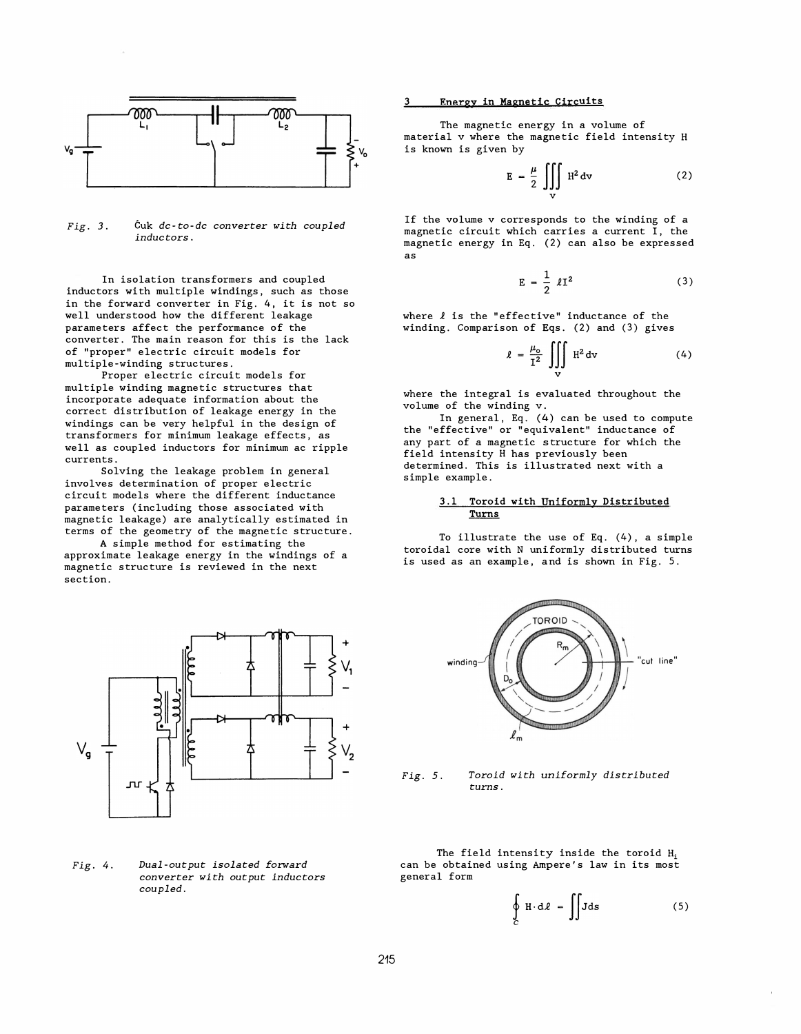

Fig. 3. Cuk dc-to-dc converter with coupled inductors.

In isolation transformers and coupled inductors with multiple windings, such as those in the forward converter in Fig. 4, it is not so well understood how the different leakage parameters affect the performance of the converter. The main reason for this is the lack of "proper" electric circuit models for multiple-winding structures.

Proper electric circuit models for mUltiple winding magnetic structures that incorporate adequate information about the correct distribution of leakage energy in the windings can be very helpful in the design of transformers for minimum leakage effects, as well as coupled inductors for minimum ac ripple currents.

Solving the leakage problem in general involves determination of proper electric circuit models where the different inductance parameters (including those associated with magnetic leakage) are analytically estimated in terms of the geometry of the magnetic structure.

A simple method for estimating the approximate leakage energy in the windings of a magnetic structure is reviewed in the next section.





# 3 Energy in Magnetic Circuits

The magnetic energy in a volume of material v where the magnetic field intensity H is known is given by

$$
E = \frac{\mu}{2} \iiint\limits_{V} H^2 dv
$$
 (2)

If the volume v corresponds to the winding of a magnetic circuit which carries a current I, the magnetic energy in Eq. (2) can also be expressed as

$$
E = \frac{1}{2} \ \ell I^2 \tag{3}
$$

where  $l$  is the "effective" inductance of the winding. Comparison of Eqs. (2) and (3) gives

$$
\ell = \frac{\mu_o}{I^2} \iiint\limits_{V} H^2 dv \tag{4}
$$

where the integral is evaluated throughout the volume of the winding v.

In general, Eq. (4) can be used to compute the "effective" or "equivalent" inductance of any part of a magnetic structure for which the field intensity H has previously been determined. This is illustrated next with a simple example.

#### 3 .1 Toroid with Uniformly Distributed Turns

To illustrate the use of Eq. (4), a simple toroidal core with N uniformly distributed turns is used as an example, a nd is shown in Fig. 5.



Fig. 5. Toroid with uniformly distributed turns.

The field intensity inside the toroid  $H_i$ can be obtained using Ampere's law in its most general form

$$
\oint_C \mathbf{H} \cdot d\boldsymbol{\ell} = \iint J ds
$$
\n(5)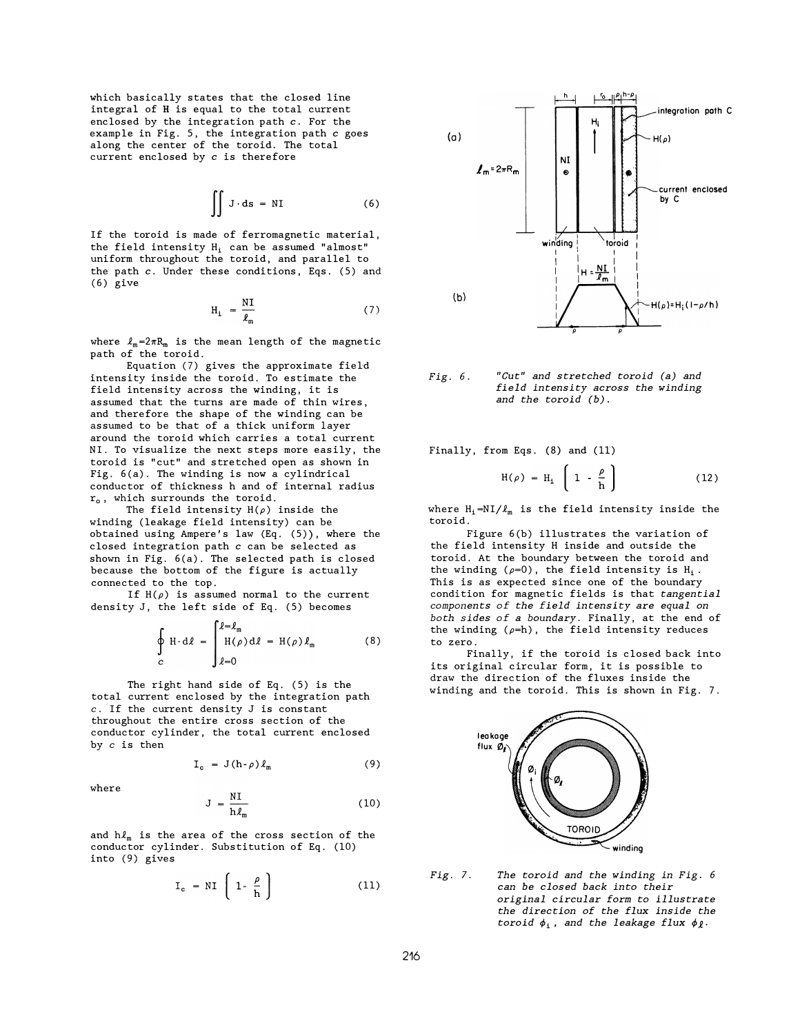which basically states that the closed line integral of H is equal to the total current enclosed by the integration path c. For the example in Fig. 5, the integration path c goes along the center of the toroid. The total current enclosed by c is therefore

$$
\iint J \cdot ds = NI \tag{6}
$$

If the toroid is made of ferromagnetic material, the field intensity  $H_i$  can be assumed "almost" uniform throughout the toroid, and parallel to the path c. Under these conditions, Eqs. (5) and (6) give

$$
H_i = \frac{NI}{\ell_m} \tag{7}
$$

where  $\ell_m = 2\pi R_m$  is the mean length of the magnetic path of the toroid.

Equation (7) gives the approximate field intensity inside the toroid. To estimate the field intensity across the winding, it is assumed that the turns are made of thin wires, and therefore the shape of the winding can be assumed to be that of a thick uniform layer around the toroid which carries a total current NI. To visualize the next steps more easily, the toroid is "cut" and stretched open as shown in Fig. 6 (a). The winding is now a cylindrical conductor of thickness h and of internal radius  $r_o$ , which surrounds the toroid.

The field intensity  $H(\rho)$  inside the winding (leakage field intensity) can be obtained using Ampere's law  $(Eq. (5))$ , where the closed integration path c can be selected as shown in Fig. 6 (a). The selected path is closed because the bottom of the figure is actually connected to the top.

If  $H(\rho)$  is assumed normal to the current density J, the left side of Eq. (5) becomes

$$
\oint_C \mathbf{H} \cdot d\ell = \begin{cases}\n\ell = \ell_m \\
\mathbf{H}(\rho) d\ell = \mathbf{H}(\rho) \ell_m \\
\ell = 0\n\end{cases}
$$
\n(8)

The right hand side of Eq. (5) is the total current enclosed by the integration path c. 'If the current density J is constant throughout the entire cross section of the conductor cylinder, the total current enclosed by c is then

$$
I_c = J(h-\rho)\ell_m \tag{9}
$$

where

$$
J = \frac{NI}{h\ell_m} \tag{10}
$$

and  $h\ell_m$  is the area of the cross section of the conductor cylinder. Substitution of Eq. (10) into (9) gives

$$
I_c = NI \left(1 - \frac{\rho}{h}\right) \tag{11}
$$



Fig. 6. "Cut" and stretched toroid (a) and field intensity across the winding and the toroid (b).

Finally, from Eqs. (8) and (II)

$$
H(\rho) = H_1 \left( 1 - \frac{\rho}{h} \right) \tag{12}
$$

where  $H_i = NI/L_m$  is the field intensity inside the toroid.

Figure 6 (b) illustrates the variation of the field intensity H inside and outside the toroid. At the boundary between the toroid and the winding  $(\rho=0)$ , the field intensity is  $H_i$ . This is as expected since one of the boundary condition for magnetic fields is that tangential components of the field intensity are equal on both sides of a boundary. Finally, at the end of the winding  $(\rho = h)$ , the field intensity reduces to zero.

Finally, if the toroid is closed back into its original circular form, it is possible to draw the direction of the fluxes inside the winding and the toroid. This is shown in Fig. 7.



Fig. 7. The toroid and the winding in Fig. 6 can be closed back into their original circular form to illustrate the direction of the flux inside the toroid  $\phi_i$ , and the leakage flux  $\phi_{\ell}$ .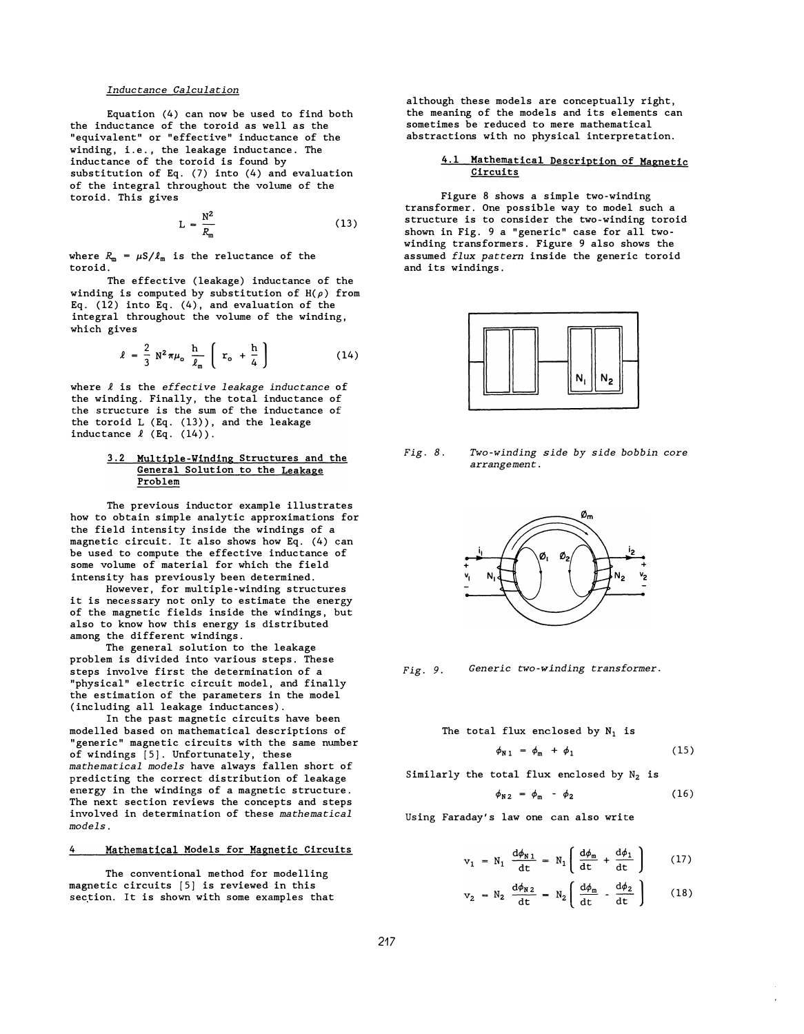# Inductance Calculation

Equation (4) can now be used to find both the inductance of the toroid as well as the "equivalent" or "effective" inductance of the winding, i. e. , the leakage inductance. The inductance of the toroid is found by substitution of Eq. (7) into (4) and evaluation of the integral throughout the volume of the toroid. This gives

$$
L = \frac{N^2}{R_m} \tag{13}
$$

where  $R_m = \mu S / \ell_m$  is the reluctance of the toroid.

The effective (leakage) inductance of the winding is computed by substitution of  $H(\rho)$  from Eq. (12) into Eq. (4) , and evaluation of the integral throughout the volume of the winding, which gives

$$
\ell = \frac{2}{3} N^2 \pi \mu_o \frac{h}{\ell_m} \left( r_o + \frac{h}{4} \right)
$$
 (14)

where  $l$  is the effective leakage inductance of the winding. Finally, the total inductance of the structure is the sum of the inductance of the toroid  $L$  (Eq.  $(13)$ ), and the leakage inductance  $l$  (Eq. (14)).

#### 3 .2 Multiple-Winding Structures and the General Solution to the Leakage Problem

The previous inductor example illustrates how to obtain simple analytic approximations for the field intensity inside the windings of a magnetic circuit. It also shows how Eq. (4) can be used to compute the effective inductance of some volume of material for which the field intensity has previously been determined.

However, for multiple-winding structures it is necessary not only to estimate the energy of the magnetic fields inside the windings, but also to know how this energy is distributed among the different windings.

The general solution to the leakage problem is divided into various steps. These steps involve first the determination of a "physical" electric circuit model, and finally the estimation of the parameters in the model (including all leakage inductances) .

In the past magnetic circuits have been modelled based on mathematical descriptions of "generic" magnetic circuits with the same number of windings [5]. Unfortunately, these mathematical models have always fallen short of predicting the correct distribution of leakage energy in the windings of a magnetic structure. The next section reviews the concepts and steps involved in determination of these mathematical models.

#### Mathematical Models for Magnetic Circuits

The conventional method for modelling magnetic circuits [5] is reviewed in this section. It is shown with some examples that

although these models are conceptually right, the meaning of the models and its elements can sometimes be reduced to mere mathematical abstractions with no physical interpretation.

#### 4.1 Mathematical Description of Magnetic **Circuits**

Figure 8 shows a simple two-winding transformer. One possible way to model such a structure is to consider the two-winding toroid shown in Fig. 9 a "generic" case for all twowinding transformers. Figure 9 also shows the assumed flux pattern inside the generic toroid and its windings.



Fig. 8. Two-winding side by side bobbin core arrangement.



Fig. 9. Generic two-winding transformer.

The total flux enclosed by 
$$
N_1
$$
 is

$$
\phi_{N1} = \phi_m + \phi_1 \tag{15}
$$

Similarly the total flux enclosed by  $N_2$  is

$$
\phi_{N2} = \phi_m - \phi_2 \tag{16}
$$

Using Faraday's law one can also write

 $\mathbf{v}$ 

$$
_{1} = N_{1} \frac{d\phi_{N1}}{dt} = N_{1} \left( \frac{d\phi_{m}}{dt} + \frac{d\phi_{1}}{dt} \right)
$$
 (17)

$$
v_2 = N_2 \frac{d\phi_{N2}}{dt} = N_2 \left( \frac{d\phi_m}{dt} - \frac{d\phi_2}{dt} \right) \qquad (18)
$$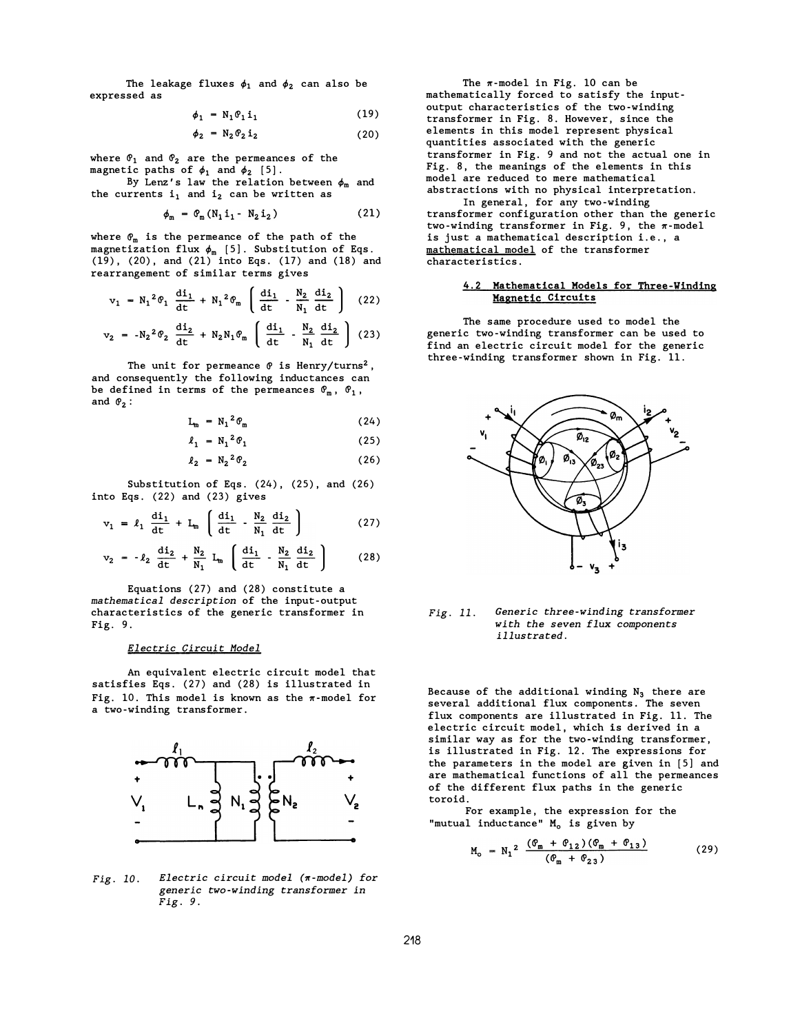The leakage fluxes  $\phi_1$  and  $\phi_2$  can also be expressed as

$$
\phi_1 = N_1 \mathcal{C}_1 \mathbf{i}_1 \tag{19}
$$

$$
\phi_2 = N_2 \mathcal{C}_2 \mathbf{i}_2 \tag{20}
$$

where  $\mathfrak{G}_1$  and  $\mathfrak{G}_2$  are the permeances of the magnetic paths of  $\phi_1$  and  $\phi_2$  [5].

By Lenz's law the relation between  $\phi_m$  and the currents  $i_1$  and  $i_2$  can be written as

$$
\phi_{\mathbf{m}} = \mathfrak{G}_{\mathbf{m}}(N_1 \mathbf{i}_1 - N_2 \mathbf{i}_2) \tag{21}
$$

where  $\mathcal{C}_m$  is the permeance of the path of the magnetization flux  $\phi_m$  [5]. Substitution of Eqs. (19) , (20) , and (21) into Eqs. (17) and (18) and rearrangement of similar terms gives

$$
v_1 = N_1^2 \theta_1 \frac{di_1}{dt} + N_1^2 \theta_m \left( \frac{di_1}{dt} - \frac{N_2}{N_1} \frac{di_2}{dt} \right)
$$
 (22)

$$
v_2 = -N_2^2 \theta_2 \frac{di_2}{dt} + N_2 N_1 \theta_m \left( \frac{di_1}{dt} - \frac{N_2}{N_1} \frac{di_2}{dt} \right)
$$
 (23)

The unit for permeance  $\theta$  is Henry/turns<sup>2</sup>, and consequently the following inductances can be defined in terms of the permeances  $\mathcal{C}_m$ ,  $\mathcal{C}_1$ , and  $\mathcal{O}_2$ :

$$
L_m = N_1^2 \vartheta_m \tag{24}
$$

 $l_1 = N_1^2 \Phi_1$ (25)

$$
\ell_2 = N_2^2 \mathcal{C}_2 \tag{26}
$$

Substitution of Eqs. (24) , (25) , and (26) into Eqs. (22) and (23) gives

$$
v_1 = \ell_1 \frac{di_1}{dt} + L_m \left( \frac{di_1}{dt} - \frac{N_2}{N_1} \frac{di_2}{dt} \right)
$$
 (27)

$$
v_2 = -\ell_2 \frac{di_2}{dt} + \frac{N_2}{N_1} I_m \left( \frac{di_1}{dt} - \frac{N_2}{N_1} \frac{di_2}{dt} \right)
$$
 (28)

Equations (27) and (28) constitute a mathematical description of the input-output characteristics of the generic transformer in Fig. 9.

#### Electric Circuit Model

An equivalent electric circuit model that satisfies Eqs. (27) and (28) is illustrated in Fig. 10. This model is known as the  $\pi$ -model for a two-winding transformer.



Fig. 10. Electric circuit model  $(\pi$ -model) for generic two-winding transformer in Fig. 9.

The  $\pi$ -model in Fig. 10 can be mathematically forced to satisfy the inputoutput characteristics of the two-winding transformer in Fig. 8. However, since the elements in this model represent physical quantities associated with the generic transformer in Fig. 9 and not the actual one in Fig. 8, the meanings of the elements in this model are reduced to mere mathematical abstractions with no physical interpretation.

In general, for any two-winding transformer configuration other than the generic two-winding transformer in Fig. 9, the  $\pi$ -model is just a mathematical description i.e., a mathematical model of the transformer characteristics.

# 4.2 Mathematical Models for Three-Winding Magnetic Circuits

The same procedure used to model the generic two-winding transformer can be used to find an electric circuit model for the generic three-winding transformer shown in Fig. 11.



Fig. 11. Generic three-winding transformer with the seven flux components illustrated.

Because of the additional winding  $N_3$  there are several additional flux components. The seven flux components are illustrated in Fig. 11. The electric circuit model, which is derived in a similar way as for the two-winding transformer, is illustrated in Fig. 12. The expressions for the parameters in the model are given in [5] and are mathematical functions of all the permeances of the different flux paths in the generic toroid.

For example, the expression for the "mutual inductance"  $M_0$  is given by

$$
M_o = N_1^2 \frac{(\theta_m + \theta_{12})(\theta_m + \theta_{13})}{(\theta_m + \theta_{23})}
$$
 (29)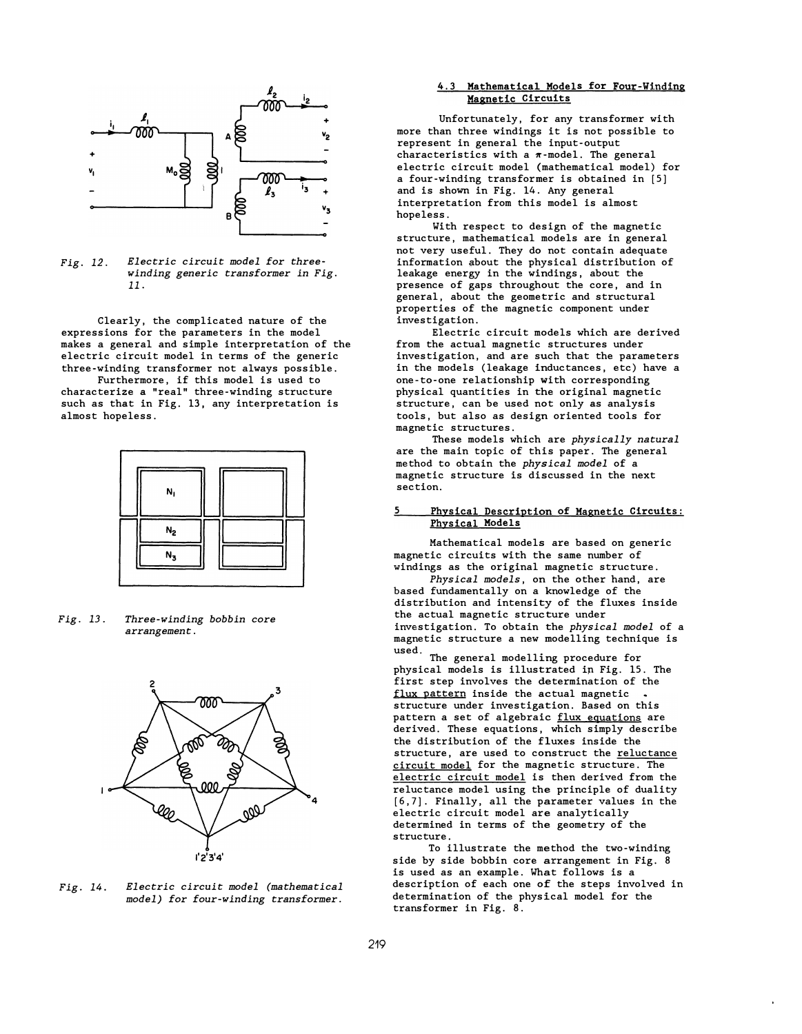

Fig. 12. Electric circuit model for threewinding generic transformer in Fig. 11.

Clearly, the complicated nature of the expressions for the parameters in the model makes a general and simple interpretation of the electric circuit model in terms of the generic three-winding transformer not always possible.

Furthermore, if this model is used to characterize a "real" three-winding structure such as that in Fig. 13, any interpretation is almost hopeless.



Fig. 13. Three-winding bobbin core arrangement.



Fig. 14. Electric circuit model (mathematical model) for four-winding transformer.

# 4.3 Mathematical Models for Four-Winding Magnetic Circuits

Unfortunately, for any transformer with more than three windings it is not possible to represent in general the input-output characteristics with a  $\pi$ -model. The general electric circuit model (mathematical model) for a four-winding transformer is obtained in [5] and is shown in Fig. 14. Any general interpretation from this model is almost hopeless.

With respect to design of the magnetic structure, mathematical models are in general not very useful. They do not contain adequate information about the physical distribution of leakage energy in the windings, about the presence of gaps throughout the core, and in general, about the geometric and structural properties of the magnetic component under investigation.

Electric circuit models which are derived from the actual magnetic structures under investigation, and are such that the parameters in the models (leakage inductances, etc) have a one-to-one relationship with corresponding physical quantities in the original magnetic structure, can be used not only as analysis tools, but also as design oriented tools for magnetic structures.

These models which are physically natural are the main topic of this paper. The general method to obtain the physical model of a magnetic structure is discussed in the next section.

# 5 Physical Description of Magnetic Circuits: Physical Models

Mathematical models are based on generic magnetic circuits with the same number of windings as the original magnetic structure.

Physical models, on the other hand, are based fundamentally on a knowledge of the distribution and intensity of the fluxes inside the actual magnetic structure under investigation. To obtain the physical model of a magnetic structure a new modelling technique is

used. The general modelling procedure for physical models is illustrated ip Fig. 15. The first step involves the determination of the flux pattern inside the actual magnetic . structure under investigation. Based on this pattern a set of algebraic flux equations are derived. These equations, which simply describe the distribution of the fluxes inside the structure, are used to construct the reluctance circuit model for the magnetic structure. The electric circuit model is then derived from the reluctance model using the principle of duality [6,7] . Finally, all the parameter values in the electric circuit model are analytically determined in terms of the geometry of the structure.

To illustrate the method the two-winding side by side bobbin core arrangement in Fig. 8 is used as an example. What follows is a description of each one of the steps involved in determination of the physical model for the transformer in Fig. 8.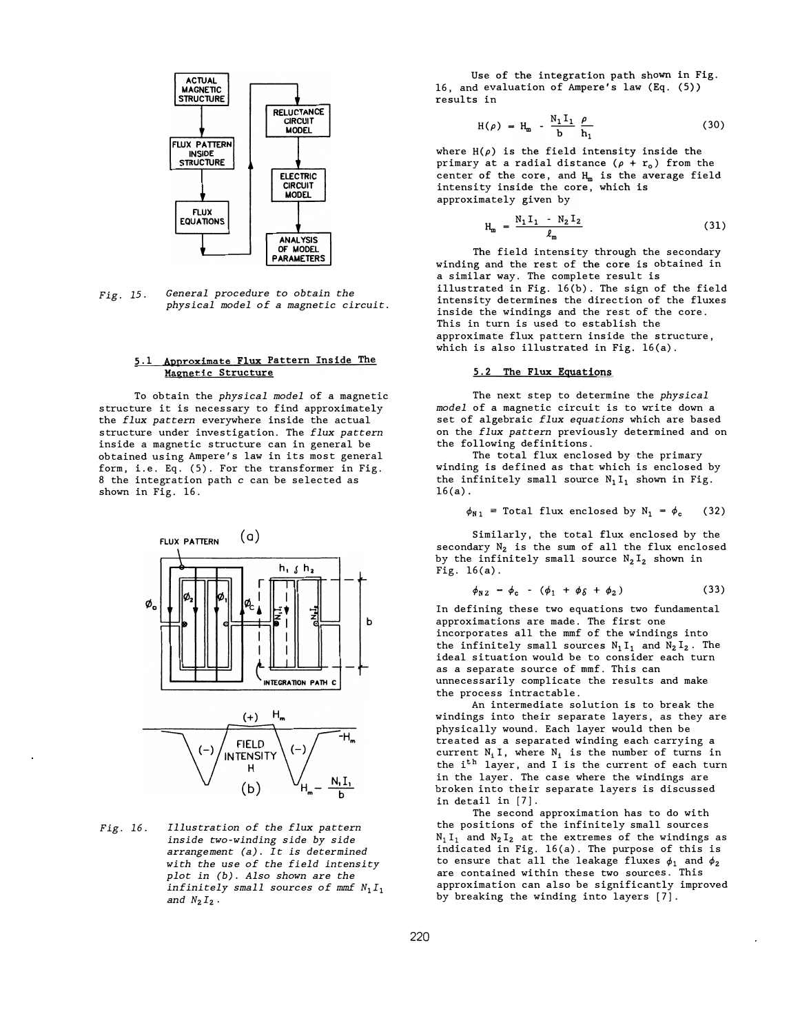

Fig. 15. General procedure to obtain the physical model of a magnetic circuit.

#### <sup>5</sup> .1 Approximate Flux Pattern Inside The Magnetic Structure

To obtain the physical model of a magnetic structure it is necessary to find approximately the flux pattern everywhere inside the actual structure under investigation. The flux pattern inside a magnetic structure can in general be obtained using Ampere's law in its most general form, i.e. Eq. (5). For the transformer in Fig. 8 the integration path c can be selected as shown in Fig. 16.



Fig. 16. Illustration of the flux pattern inside two-winding side by side arrangement (a) . It is determined with the use of the field intensity plot in (b). Also shown are the infinitely small sources of mmf  $N_1I_1$ and  $N_2I_2$ .

Use of the integration path shown in Fig. 16, and evaluation of Ampere's law (Eq. (5)) results in

$$
H(\rho) = H_{m} - \frac{N_{1}I_{1}}{b} \frac{\rho}{h_{1}}
$$
 (30)

where  $H(\rho)$  is the field intensity inside the primary at a radial distance  $(\rho + r_o)$  from the center of the core, and  $H_m$  is the average field intensity inside the core, which is approximately given by

$$
H_m = \frac{N_1 I_1 - N_2 I_2}{\ell_m}
$$
 (31)

The field intensity through the secondary winding and the rest of the core is obtained in a similar way. The complete result is illustrated in Fig. l6(b). The sign of the field intensity determines the direction of the fluxes inside the windings and the rest of the core. This in turn is used to establish the approximate flux pattern inside the structure, which is also illustrated in Fig. l6(a).

# 5 .2 The Flux Equations

 $\overline{a}$ 

The next step to determine the physical model of a magnetic circuit is to write down a set of algebraic flux equations which are based on the flux pattern previously determined and on the following definitions.

The total flux enclosed by the primary winding is defined as that which is enclosed by the infinitely small source  $N_1I_1$  shown in Fig.  $16(a)$ .

 $\phi_{N1}$  = Total flux enclosed by N<sub>1</sub> =  $\phi_c$  (32)

Similarly, the total flux enclosed by the secondary  $N_2$  is the sum of all the flux enclosed by the infinitely small source  $N_2I_2$  shown in Fig.  $16(a)$ .

$$
\phi_{N2} = \phi_c - (\phi_1 + \phi_\delta + \phi_2) \tag{33}
$$

In defining these two equations two fundamental approximations are made. The first one incorporates all the mmf of the windings into the infinitely small sources  $N_1I_1$  and  $N_2I_2$ . The ideal situation would be to consider each turn as a separate source of mmf. This can unnecessarily complicate the results and make the process intractable.

An intermediate solution is to break the windings into their separate layers, as they are physically wound. Each layer would then be treated as a separated winding each carrying a current  $N_i$  I, where  $N_i$  is the number of turns in the i<sup>th</sup> layer, and I is the current of each turn in the layer. The case where the windings are broken into their separate layers is discussed in detail in [7].

The second approximation has to do with the positions of the infinitely small sources  $N_1I_1$  and  $N_2I_2$  at the extremes of the windings as indicated in Fig. l6 (a). The purpose of this is to ensure that all the leakage fluxes  $\phi_1$  and  $\phi_2$ are contained within these two sources. This approximation can also be significantly improved by breaking the winding into layers [7].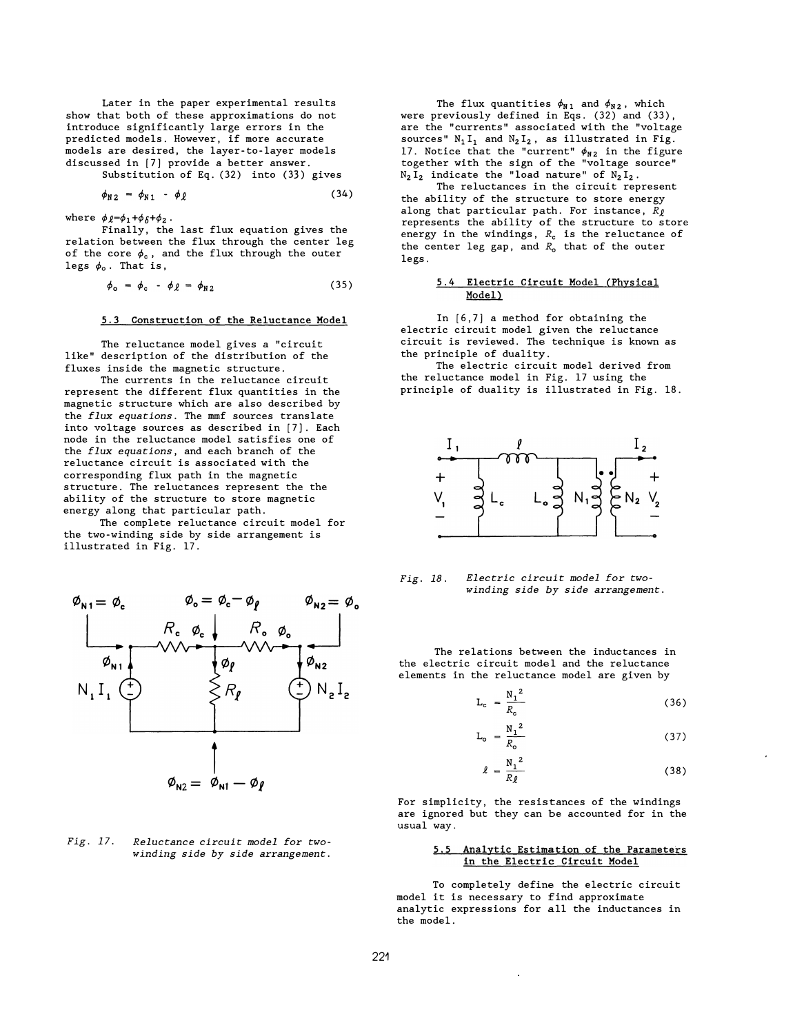Later in the paper experimental results show that both of these approximations do not introduce significantly large errors in the predicted models. However, if more accurate models are desired, the layer-to-layer models discussed in [7) provide a better answer.

Substitution of Eq. (32) into (33) gives

$$
\phi_{N2} = \phi_{N1} - \phi_{\ell} \tag{34}
$$

where  $\phi_{\ell}=\phi_1+\phi_{\delta}+\phi_2$ .

Finally, the last flux equation gives the relation between the flux through the center leg of the core  $\phi_c$ , and the flux through the outer legs  $\phi_o$ . That is,

$$
\phi_o = \phi_c - \phi_{\ell} = \phi_{N2} \tag{35}
$$

#### 5.3 Construction of the Reluctance Model

The reluctance model gives a "circuit like" description of the distribution of the fluxes inside the magnetic structure.

The currents in the reluctance circuit represent the different flux quantities in the magnetic structure which are also described by the flux equations. The mmf sources translate into voltage sources as described in [7) . Each node in the reluctance model satisfies one of the flux equations, and each branch of the reluctance circuit is associated with the corresponding flux path in the magnetic structure. The reluctances represent the the ability of the structure to store magnetic energy along that particular path.

The complete reluctance circuit model for the two-winding side by side arrangement is illustrated in Fig. 17.



Fig. 17. Reluctance circuit model for twowinding side by side arrangement.

The flux quantities  $\phi_{N1}$  and  $\phi_{N2}$ , which were previously defined in Eqs. (32) and (33), are the "currents" associated with the "voltage sources"  $N_1I_1$  and  $N_2I_2$ , as illustrated in Fig. 17. Notice that the "current"  $\phi_\texttt{N2}$  in the figure together with the sign of the "voltage source"  $N_2I_2$  indicate the "load nature" of  $N_2I_2$ .

The reluctances in the circuit represent the ability of the structure to store energy along that particular path. For instance,  $R_{\ell}$ represents the ability of the structure to store energy in the windings,  $R_{\rm c}$  is the reluctance of the center leg gap, and  $R_0$  that of the outer legs.

#### 5.4 Electric Circuit Model (Physical Model)

In [6,7) a method for obtaining the electric circuit model given the reluctance circuit is reviewed. The technique is known as the principle of duality.

The electric circuit model derived from the reluctance model in Fig. 17 using the principle of duality is illustrated in Fig. 18.



Fig. 18. Electric circuit model for twowinding side by side arrangement.

The relations between the inductances in the electric circuit model and the reluctance elements in the reluctance model are given by

$$
L_c = \frac{N_1^2}{R_c}
$$
 (36)

$$
L_o = \frac{N_1^2}{R_o}
$$
 (37)

$$
\ell = \frac{N_1^2}{R\ell} \tag{38}
$$

For simplicity, the resistances of the windings are ignored but they can be accounted for in the usual way.

#### 5.5 Analytic Estimation of the Parameters in the Electric Circuit Model

To completely define the electric circuit model it is necessary to find approximate analytic expressions for all the inductances in the model.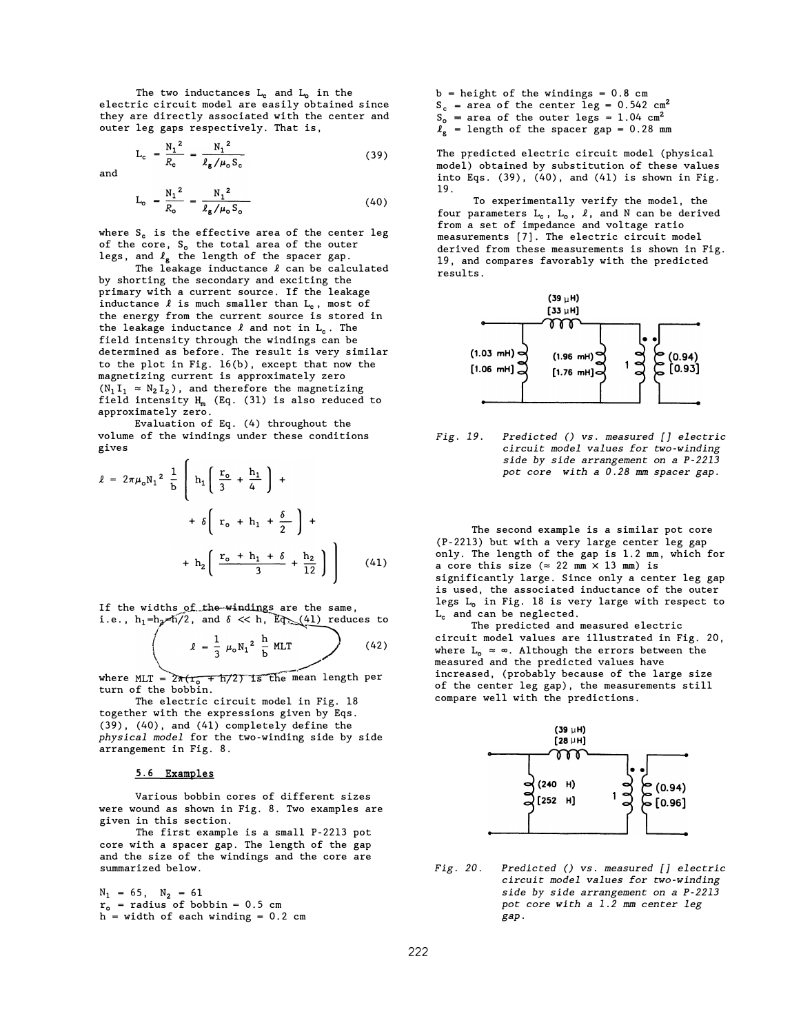The two inductances  $L_c$  and  $L_0$  in the electric circuit model are easily obtained since they are directly associated with the center and outer leg gaps respectively. That is,

$$
L_c = \frac{N_1^2}{R_c} = \frac{N_1^2}{\ell_g / \mu_o S_c}
$$
 (39)

and

$$
L_o = \frac{N_1^2}{R_o} = \frac{N_1^2}{\ell_g / \mu_o S_o}
$$
 (40)

where  $S_c$  is the effective area of the center leg of the core,  $S_0$  the total area of the outer legs, and  $\ell_{g}$  the length of the spacer gap.

The leakage inductance  $\ell$  can be calculated by shorting the secondary and exciting the primary with a current source. If the leakage inductance  $l$  is much smaller than  $L_c$ , most of the energy from the current source is stored in the leakage inductance  $\ell$  and not in  $L_c$ . The field intensity through the windings can be determined as before. The result is very similar to the plot in Fig. l6(b), except that now the magnetizing current is approximately zero  $(N_1 I_1 \approx N_2 I_2)$ , and therefore the magnetizing field intensity  $H_m$  (Eq. (31) is also reduced to approximately zero.

Evaluation of Eq. (4) throughout the volume of the windings under these conditions gives

$$
\ell = 2\pi\mu_o N_1^2 \frac{1}{b} \left[ h_1 \left( \frac{r_o}{3} + \frac{h_1}{4} \right) + \delta \left( r_o + h_1 + \frac{\delta}{2} \right) + \right. \\
\left. + h_2 \left( \frac{r_o + h_1 + \delta}{3} + \frac{h_2}{12} \right) \right] \tag{41}
$$

If the widths of the-windings are the same, If the widths of the windings are the same,<br>i.e.,  $h_1=h_2$ -h/2, and  $\delta\ll h$ ,  $\mathbb{E}(\sqrt{41})$  reduces to

$$
\ell = \frac{1}{3} \mu_0 N_1^2 \frac{h}{b} MLT
$$
 (42)

where MLT =  $2\pi(\tau_0 + \hbar/2)$  is the mean length per turn of the bobbin.

The electric circuit model in Fig. 18 together with the expressions given by Eqs. (39), (40), and (41) completely define the physical model for the two-winding side by side arrangement in Fig. 8.

# 5 .6 Examples

Various bobbin cores of different sizes were wound as shown in Fig. 8. Two examples are given in this section.

The first example is a small P-22l3 pot core with a spacer gap. The length of the gap and the size of the windings and the core are summarized below.

 $N_1 = 65$ ,  $N_2 = 61$  $r_o$  = radius of bobbin = 0.5 cm  $h =$  width of each winding = 0.2 cm  $b = height of the windings = 0.8 cm$  $S_c$  = area of the center leg = 0.542 cm<sup>2</sup>  $S_0$  = area of the outer legs = 1.04 cm<sup>2</sup>  $\ell_{g}$  = length of the spacer gap = 0.28 mm

The predicted electric circuit model (physical model) obtained by substitution of these values into Eqs. (39), (40), and (41) is shown in Fig. 19.

To experimentally verify the model, the four parameters  $L_c$ ,  $L_o$ ,  $\ell$ , and N can be derived from a set of impedance and voltage ratio measurements (7). The electric circuit model derived from these measurements is shown in Fig. 19, and compares favorably with the predicted results.



Fig. 19. Predicted () vs. measured [J electric circuit model values for two-winding side by side arrangement on a P-2213 pot core with a 0.28 mm spacer gap.

The second example is a similar pot core (P-2213) but with a very large center leg gap only. The length of the gap is 1.2 mm, which for a core this size  $(\approx 22$  mm  $\times$  13 mm) is significantly large. Since only a center leg gap is used, the associated inductance of the outer legs L<sub>o</sub> in Fig. 18 is very large with respect to  $L_c$  and can be neglected.

The predicted and measured electric circuit model values are illustrated in Fig. 20, where  $L_0 \approx \infty$ . Although the errors between the measured and the predicted values have increased, (probably because of the large size of the center leg gap), the measurements still compare well with the predictions.



Fig. 20. Predicted () vs. measured [J electric circuit model values for two-winding side by side arrangement on a P-2213 pot core with a 1.2 mm center leg gap.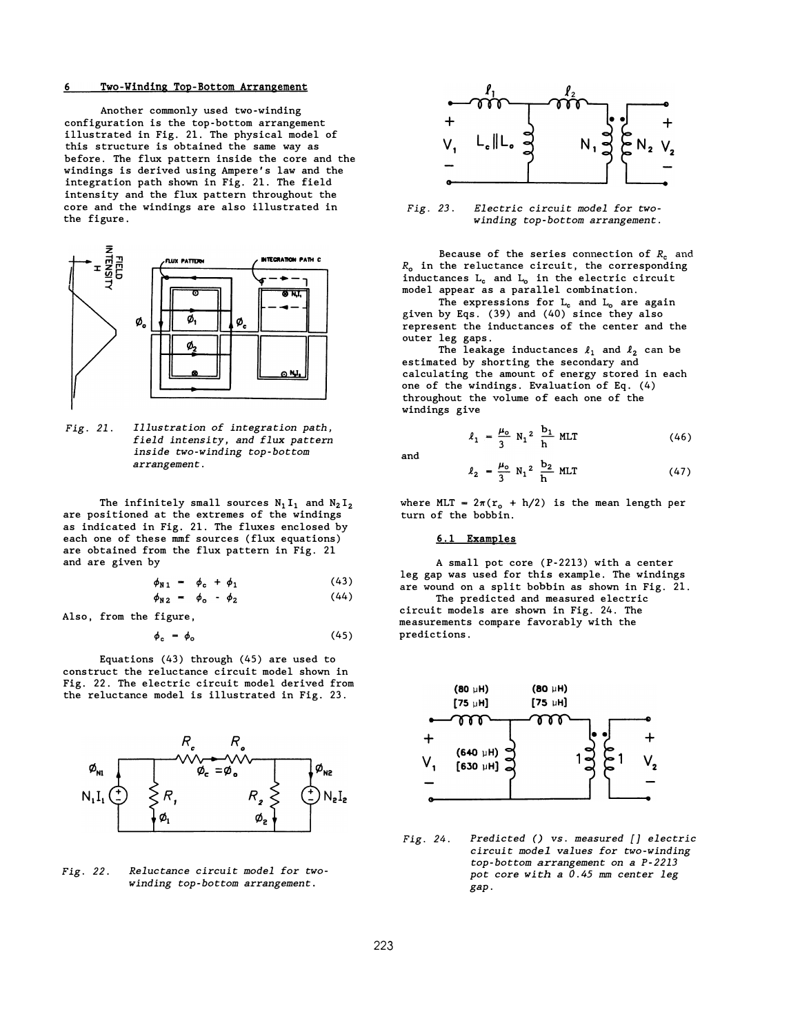# 6 Two-Winding Top-Bottom Arrangement

Another commonly used two-winding configuration is the top-bottom arrangement illustrated in Fig. 21. The physical model of this structure is obtained the same way as before. The flux pattern inside the core and the windings is derived using Ampere's law and the integration path shown in Fig. 21. The field intensity and the flux pattern throughout the core and the windings are also illustrated in the figure.



Fig. 21. Illustration of integration path, field intensity, and flux pattern inside two-winding top-bottom arrangement.

The infinitely small sources  $N_1I_1$  and  $N_2I_2$ are positioned at the extremes of the windings as indicated in Fig. 21. The fluxes enclosed by each one of these mmf sources (flux equations) are obtained from the flux pattern in Fig. 21 and are given by

$$
\phi_{N1} = \phi_c + \phi_1 \tag{43}
$$

$$
\phi_{N2} = \phi_0 - \phi_2 \tag{44}
$$

Also, from the figure,

$$
\phi_c = \phi_o \tag{45}
$$

Equations (43) through (45) are used to construct the reluctance circuit model shown in Fig. 22. The electric circuit model derived from the reluctance model is illustrated in Fig. 23.



Fig. 22. Reluctance circuit model for twowinding top-bottom arrangement.



Fig. 23. Electric circuit model for twowinding top-bottom arrangement.

Because of the series connection of  $R_c$  and  $R_0$  in the reluctance circuit, the corresponding inductances  $L_c$  and  $L_o$  in the electric circuit model appear as a parallel combination.

The expressions for  $L_c$  and  $L_o$  are again given by Eqs. (39) and (40) since they also represent the inductances of the center and the outer leg gaps.

The leakage inductances  $l_1$  and  $l_2$  can be estimated by shorting the secondary and calculating the amount of energy stored in each one of the windings. Evaluation of Eq. (4) throughout the volume of each one of the windings give

$$
\ell_1 = \frac{\mu_o}{3} N_1^2 \frac{b_1}{h} MLT
$$
 (46)

and

$$
\ell_2 = \frac{\mu_0}{3} N_1^2 \frac{b_2}{h} MLT
$$
 (47)

where MLT =  $2\pi(r_o + h/2)$  is the mean length per turn of the bobbin.

6.1 Examples

A small pot core (P-2213) with a center leg gap was used for this example. The windings are wound on a split bobbin as shown in Fig. 21. The predicted and measured electric

circuit models are shown in Fig. 24. The measurements compare favorably with the predictions.



Fig. 24. Predicted () vs. measured [] electric circuit model values for two-winding top-bottom arrangement on a P-22l3 pot core with a 0.45 mm center leg gap.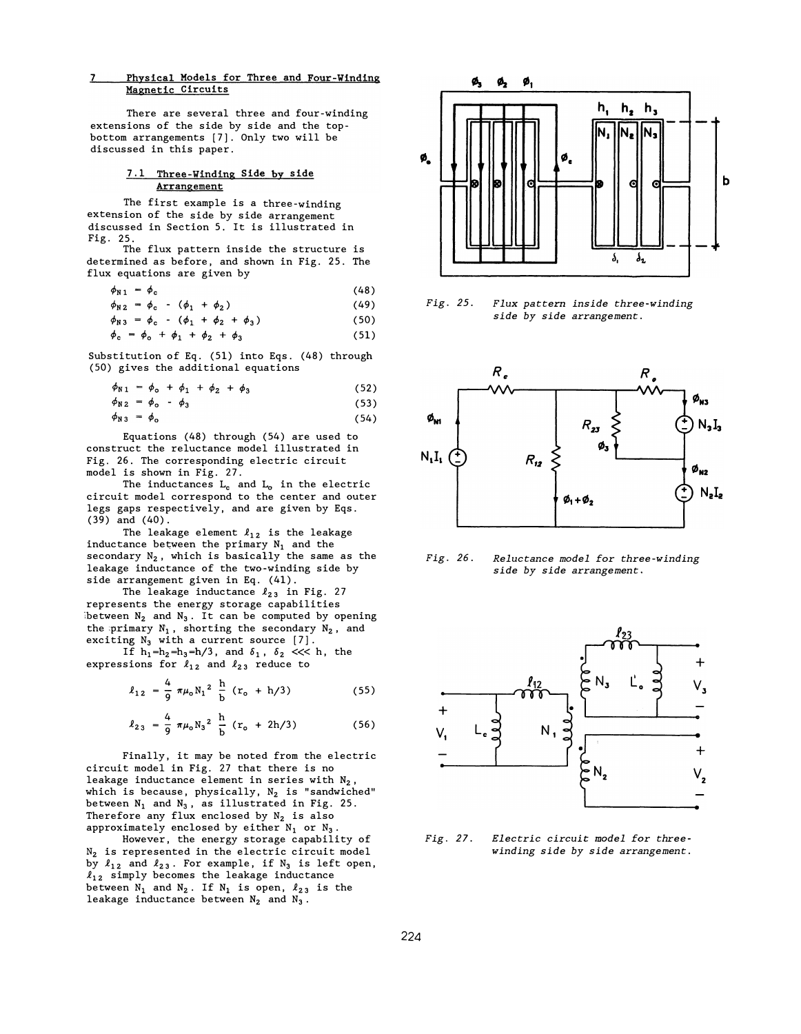### 7 Physical Models for Three and Four-Winding Magnetic Circuits

There are several three and four-winding extensions of the side by side and the topbottom arrangements [7]. Only two will be discussed in this paper.

# 7.1 Three-Winding Side by side **Arrangement**

The first example is a three-winding extension of the side by side arrangement discussed in Section 5. It is illustrated in Fig. 25.

The flux pattern inside the structure is determined as before, and shown in Fig. 25. The flux equations are given by

$$
\phi_{N1} = \phi_c \tag{48}
$$

$$
\phi_{N2} = \phi_c - (\phi_1 + \phi_2) \tag{49}
$$

$$
\phi_{N3} = \phi_c - (\phi_1 + \phi_2 + \phi_3) \tag{50}
$$

$$
\varphi_c = \varphi_o + \varphi_1 + \varphi_2 + \varphi_3 \tag{51}
$$

Substitution of Eq. (51) into Eqs. (48) through (50) gives the additional equations

 $\phi_{N1} = \phi_0 + \phi_1 + \phi_2 + \phi_3$ (52)

$$
\phi_{N2} = \phi_o - \phi_3 \tag{53}
$$

$$
\varphi_{N3} = \varphi_o \tag{54}
$$

Equations (48) through (54) are used to construct the reluctance model illustrated in Fig. 26. The corresponding electric circuit model is shown in Fig. 27.

The inductances  $L_c$  and  $L_o$  in the electric circuit model correspond to the center and outer legs gaps respectively, and are given by Eqs. (39) and (40) .

The leakage element  $\ell_{12}$  is the leakage inductance between the primary  $N_1$  and the secondary  $N_2$ , which is basically the same as the leakage inductance of the two·-winding side by side arrangement given in Eq. (41) .

The leakage inductance  $\ell_{23}$  in Fig. 27 represents the energy storage capabilities  $\theta$ between N<sub>2</sub> and N<sub>3</sub>. It can be computed by opening the primary  $N_1$ , shorting the secondary  $N_2$ , and exciting  $N_3$  with a current source  $[7]$ .

If  $h_1=h_2=h_3-h/3$ , and  $\delta_1$ ,  $\delta_2$  <<< h, the expressions for  $l_{12}$  and  $l_{23}$  reduce to

$$
\ell_{12} = \frac{4}{9} \pi \mu_0 N_1^2 \frac{h}{b} (r_0 + h/3)
$$
 (55)

$$
\ell_{23} = \frac{4}{9} \pi \mu_0 N_3^2 \frac{h}{b} (r_0 + 2h/3)
$$
 (56)

Finally, it may be noted from the electric circuit model in Fig. 27 that there is no leakage inductance element in series with  $N_2$ , which is because, physically,  $N_2$  is "sandwiched" between  $N_1$  and  $N_3$ , as illustrated in Fig. 25. Therefore any flux enclosed by  $N_2$  is also approximately enclosed by either  $N_1$  or  $N_3$ .

However, the energy storage capability of  $N_2$  is represented in the electric circuit model by  $\ell_{12}$  and  $\ell_{23}$ . For example, if N<sub>3</sub> is left open,  $\ell_{12}$  simply becomes the leakage inductance between  $N_1$  and  $N_2$ . If  $N_1$  is open,  $\ell_{23}$  is the leakage inductance between  $N_2$  and  $N_3$ .



Fig. 25. Flux pattern inside three-winding side by side arrangement.



Fig. 26. Reluctance model for three-winding side by side arrangement.



Fig. 27. Electric circuit model for threewinding side by side arrangement.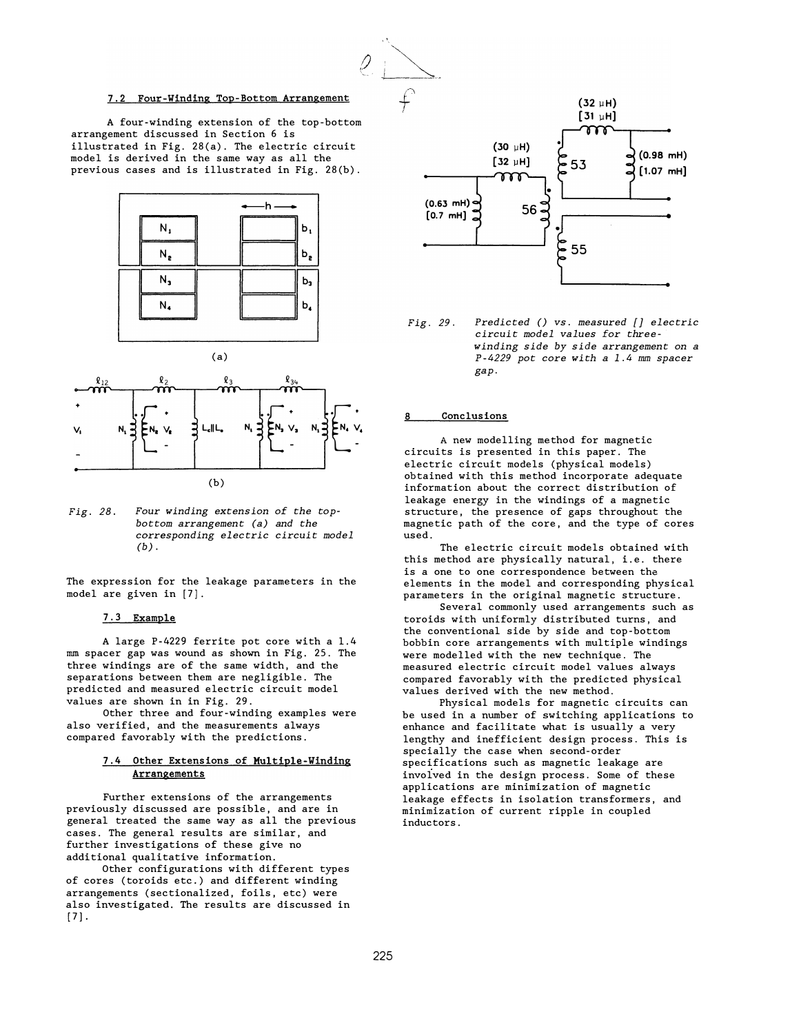

#### 7.2 Four-Winding Top-Bottom Arrangement

A four-winding extension of the top-bottom arrangement discussed in Section 6 is illustrated in Fig. 28(a). The electric circuit model is derived in the same way as all the previous cases and is illustrated in Fig. 28(b).





(a)

Fig. 28. Four winding extension of the topbottom arrangement (a) and the corresponding electric circuit model  $(b)$ .

The expression for the leakage parameters in the model are given in [7].

# 7.3 Example

A large P-4229 ferrite pot core with a 1. 4 mm spacer gap was wound as shown in Fig. 25. The three windings are of the same width, and the separations between them are negligible. The predicted and measured electric circuit model values are shown in in Fig. 29.

Other three and four-winding examples were also verified, and the measurements always compared favorably with the predictions.

# 7. 4 Other Extensions of Multiple-Winding **Arrangements**

Further extensions of the arrangements previously discussed are possible, and are in general treated the same way as all the previous cases. The general results are similar, and further investigations of these give no additional qualitative information.

Other configurations with different types of cores (toroids etc.) and different winding arrangements (sectionalized, foils, etc) were also investigated. The results are discussed in  $[7]$ .



Fig. 29. Predicted () vs. measured [J electric circuit model values for threewinding side by side arrangement on a P-4229 pot core with a 1.4 mm spacer gap.

#### Conclusions

<sup>A</sup>new modelling method for magnetic circuits is presented in this paper. The electric circuit models (physical models) obtained with this method incorporate adequate information about the correct distribution of leakage energy in the windings of a magnetic structure, the presence of gaps throughout the magnetic path of the core, and the type of cores used.

The electric circuit models obtained with this method are physically natural, i.e. there is a one to one correspondence between the elements in the model and corresponding physical parameters in the original magnetic structure.

Several commonly used arrangements such as toroids with uniformly distributed turns, and the conventional side by side and top-bottom bobbin core arrangements with multiple windings were modelled with the new technique. The measured electric circuit model values always compared favorably with the predicted physical values derived with the new method.

Physical models for magnetic circuits can be used in a number of switching applications to enhance and facilitate what is usually a very lengthy and inefficient design process. This is specially the case when second-order specifications such as magnetic leakage are involved in the design process. Some of these applications are minimization of magnetic leakage effects in isolation transformers, and minimization of current ripple in coupled inductors.